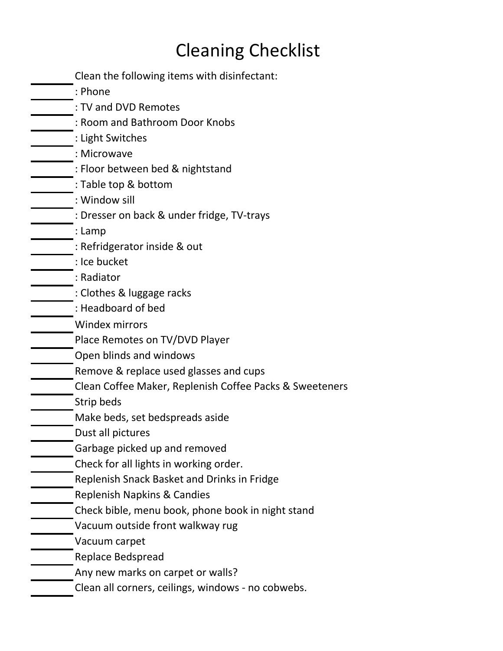## Cleaning Checklist

| Clean the following items with disinfectant:            |
|---------------------------------------------------------|
| : Phone                                                 |
| : TV and DVD Remotes                                    |
| : Room and Bathroom Door Knobs                          |
| : Light Switches                                        |
| : Microwave                                             |
| : Floor between bed & nightstand                        |
| : Table top & bottom                                    |
| : Window sill                                           |
| : Dresser on back & under fridge, TV-trays              |
| : Lamp                                                  |
| : Refridgerator inside & out                            |
| : Ice bucket                                            |
| : Radiator                                              |
| : Clothes & luggage racks                               |
| : Headboard of bed                                      |
| <b>Windex mirrors</b>                                   |
| Place Remotes on TV/DVD Player                          |
| Open blinds and windows                                 |
| Remove & replace used glasses and cups                  |
| Clean Coffee Maker, Replenish Coffee Packs & Sweeteners |
| Strip beds                                              |
| Make beds, set bedspreads aside                         |
| Dust all pictures                                       |
| Garbage picked up and removed                           |
| Check for all lights in working order.                  |
| Replenish Snack Basket and Drinks in Fridge             |
| Replenish Napkins & Candies                             |
| Check bible, menu book, phone book in night stand       |
| Vacuum outside front walkway rug                        |
| Vacuum carpet                                           |
| Replace Bedspread                                       |
| Any new marks on carpet or walls?                       |
|                                                         |

Clean all corners, ceilings, windows - no cobwebs.